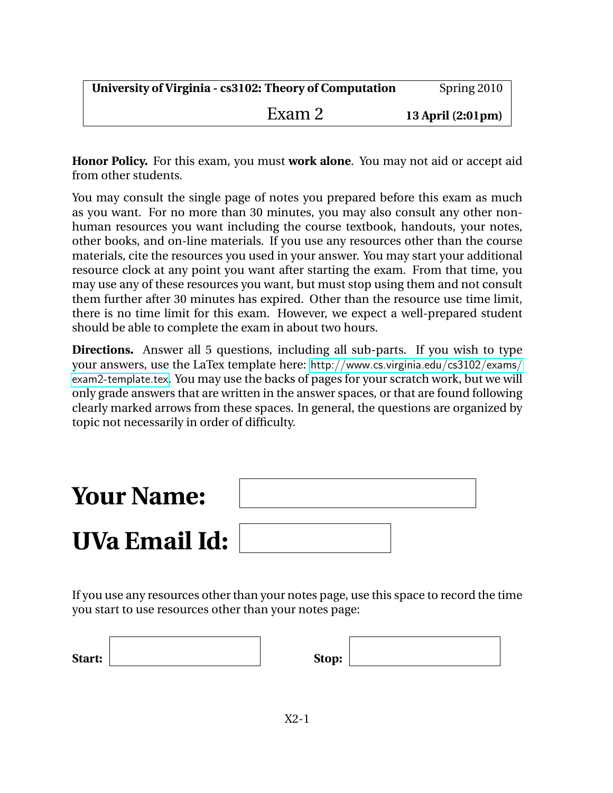| University of Virginia - cs3102: Theory of Computation | Spring 2010       |
|--------------------------------------------------------|-------------------|
| Exam 2                                                 | 13 April (2:01pm) |

**Honor Policy.** For this exam, you must **work alone**. You may not aid or accept aid from other students.

You may consult the single page of notes you prepared before this exam as much as you want. For no more than 30 minutes, you may also consult any other nonhuman resources you want including the course textbook, handouts, your notes, other books, and on-line materials. If you use any resources other than the course materials, cite the resources you used in your answer. You may start your additional resource clock at any point you want after starting the exam. From that time, you may use any of these resources you want, but must stop using them and not consult them further after 30 minutes has expired. Other than the resource use time limit, there is no time limit for this exam. However, we expect a well-prepared student should be able to complete the exam in about two hours.

**Directions.** Answer all 5 questions, including all sub-parts. If you wish to type your answers, use the LaTex template here: [http://www.cs.virginia.edu/cs3102/exams/](http://www.cs.virginia.edu/cs3102/exams/exam2-template.tex) [exam2-template.tex](http://www.cs.virginia.edu/cs3102/exams/exam2-template.tex). You may use the backs of pages for your scratch work, but we will only grade answers that are written in the answer spaces, or that are found following clearly marked arrows from these spaces. In general, the questions are organized by topic not necessarily in order of difficulty.



If you use any resources other than your notes page, use this space to record the time you start to use resources other than your notes page:

| Start: | Stop: |  |
|--------|-------|--|
|        |       |  |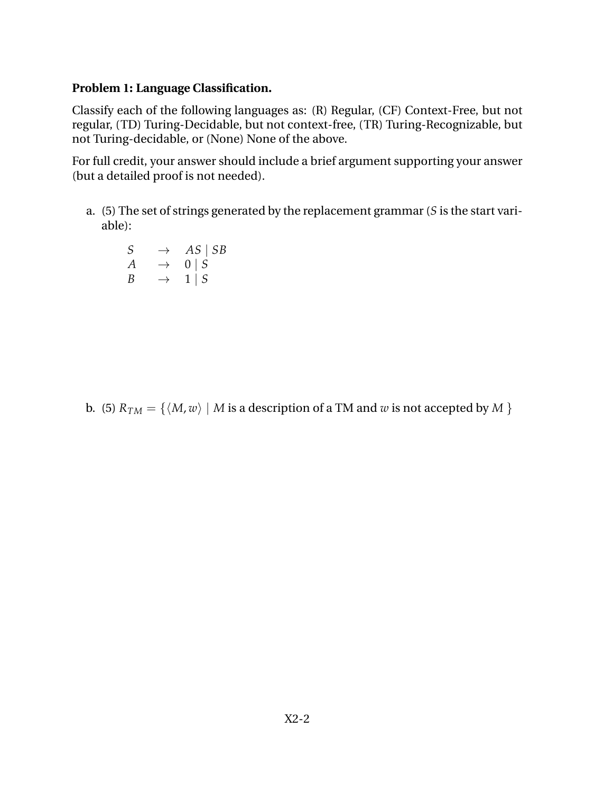## **Problem 1: Language Classification.**

Classify each of the following languages as: (R) Regular, (CF) Context-Free, but not regular, (TD) Turing-Decidable, but not context-free, (TR) Turing-Recognizable, but not Turing-decidable, or (None) None of the above.

For full credit, your answer should include a brief argument supporting your answer (but a detailed proof is not needed).

a. (5) The set of strings generated by the replacement grammar (*S* is the start variable):

 $S \rightarrow AS \mid SB$  $A \rightarrow 0 | S$  $B \rightarrow 1 | S$ 

b. (5)  $R_{TM} = \{ \langle M, w \rangle \mid M \text{ is a description of a TM and } w \text{ is not accepted by } M \}$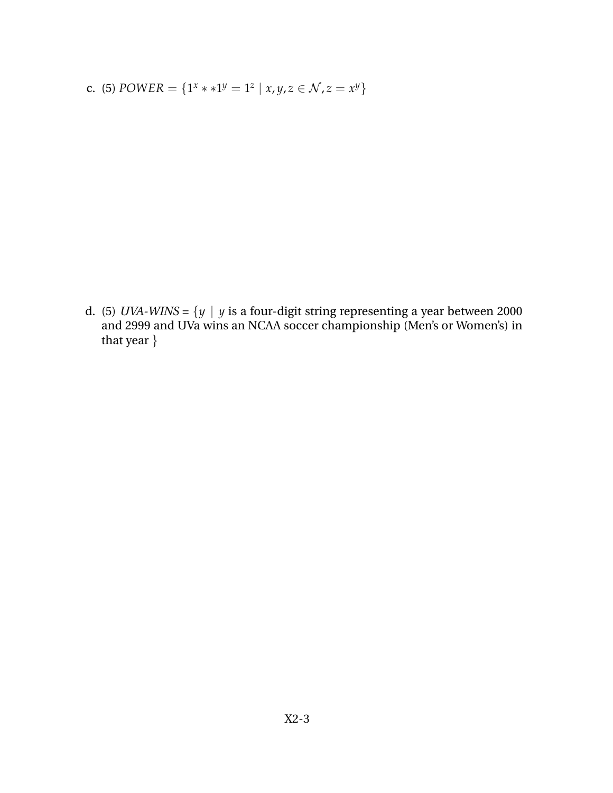c. (5) *POWER* = { $1^x * * 1^y = 1^z | x, y, z \in \mathcal{N}, z = x^y$ }

d. (5) *UVA-WINS* =  $\{y \mid y \text{ is a four-digit string representing a year between 2000$ and 2999 and UVa wins an NCAA soccer championship (Men's or Women's) in that year }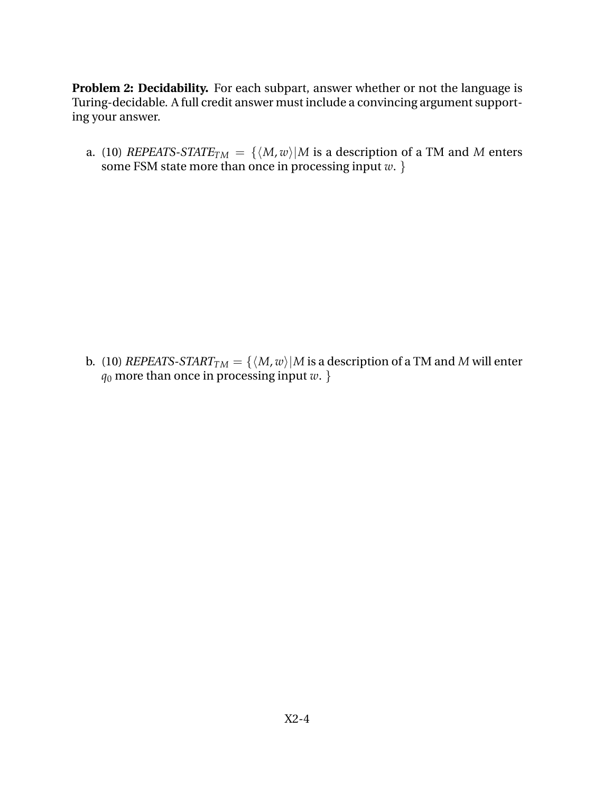**Problem 2: Decidability.** For each subpart, answer whether or not the language is Turing-decidable. A full credit answer must include a convincing argument supporting your answer.

a. (10) *REPEATS-STATE*<sub>*TM*</sub> = { $\langle M, w \rangle$ |*M* is a description of a TM and *M* enters some FSM state more than once in processing input *w*. }

b. (10) *REPEATS-START*<sub>*TM*</sub> = { $\langle M, w \rangle$ |*M* is a description of a TM and *M* will enter *q*<sup>0</sup> more than once in processing input *w*. }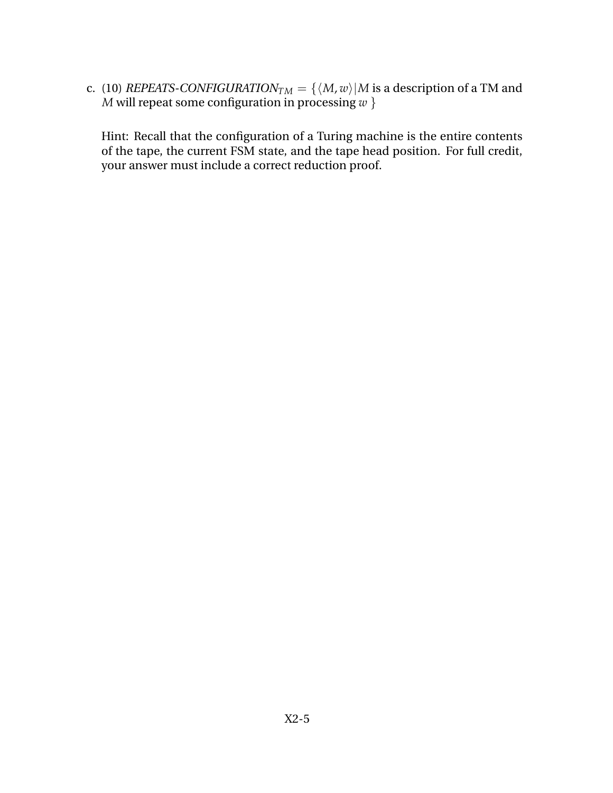c. (10) *REPEATS-CONFIGURATION* $_{TM} = \{ \langle M, w \rangle | M$  is a description of a TM and *M* will repeat some configuration in processing *w* }

Hint: Recall that the configuration of a Turing machine is the entire contents of the tape, the current FSM state, and the tape head position. For full credit, your answer must include a correct reduction proof.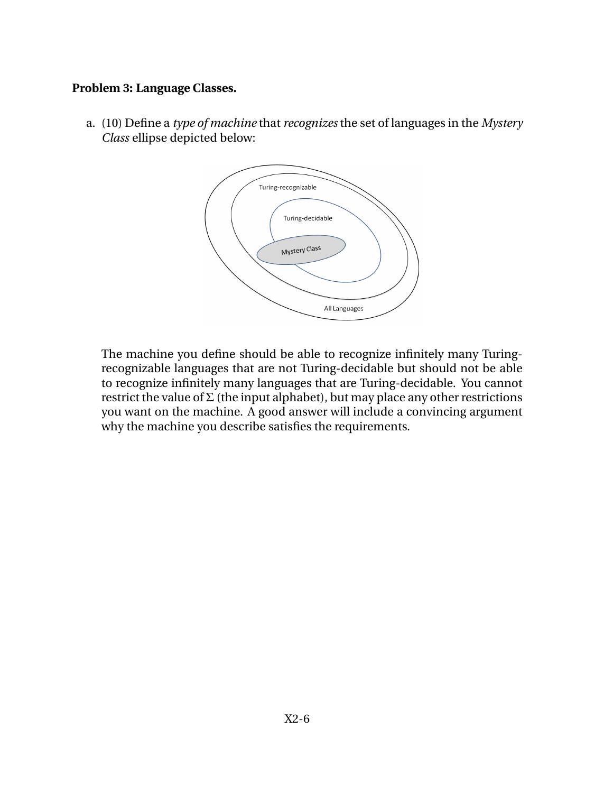## **Problem 3: Language Classes.**

a. (10) Define a *type of machine* that *recognizes* the set of languages in the *Mystery Class* ellipse depicted below:



The machine you define should be able to recognize infinitely many Turingrecognizable languages that are not Turing-decidable but should not be able to recognize infinitely many languages that are Turing-decidable. You cannot restrict the value of  $\Sigma$  (the input alphabet), but may place any other restrictions you want on the machine. A good answer will include a convincing argument why the machine you describe satisfies the requirements.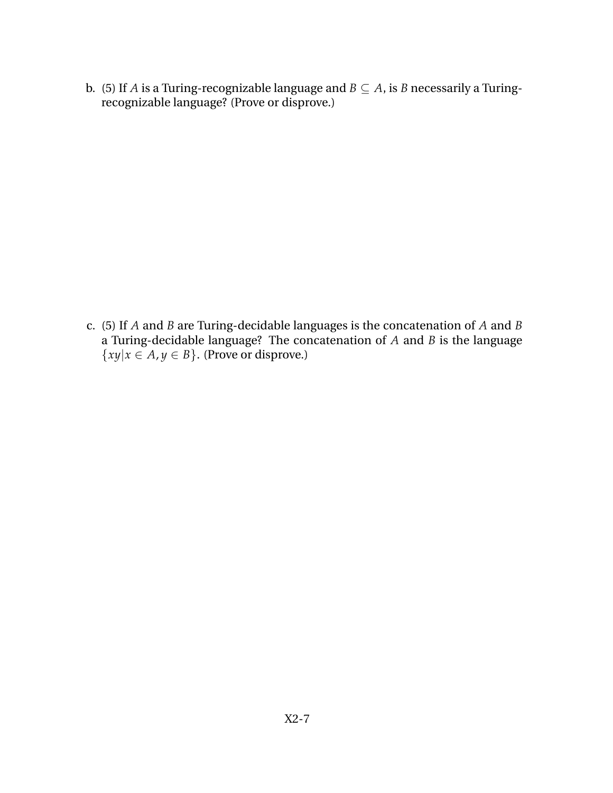b. (5) If *A* is a Turing-recognizable language and  $B \subseteq A$ , is *B* necessarily a Turingrecognizable language? (Prove or disprove.)

c. (5) If *A* and *B* are Turing-decidable languages is the concatenation of *A* and *B* a Turing-decidable language? The concatenation of *A* and *B* is the language  $\{xy|x \in A, y \in B\}$ . (Prove or disprove.)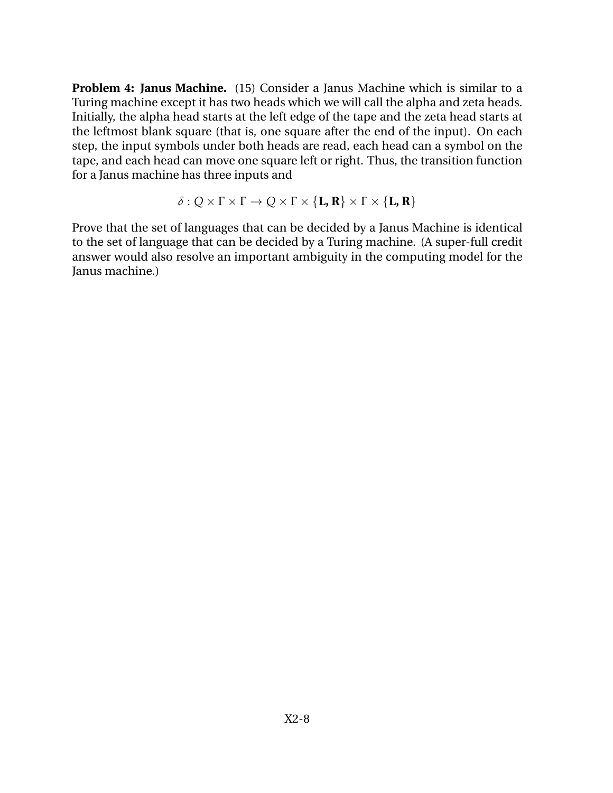**Problem 4: Janus Machine.** (15) Consider a Janus Machine which is similar to a Turing machine except it has two heads which we will call the alpha and zeta heads. Initially, the alpha head starts at the left edge of the tape and the zeta head starts at the leftmost blank square (that is, one square after the end of the input). On each step, the input symbols under both heads are read, each head can a symbol on the tape, and each head can move one square left or right. Thus, the transition function for a Janus machine has three inputs and

$$
\delta:Q\times\Gamma\times\Gamma\to Q\times\Gamma\times\{\mathbf{L},\mathbf{R}\}\times\Gamma\times\{\mathbf{L},\mathbf{R}\}
$$

Prove that the set of languages that can be decided by a Janus Machine is identical to the set of language that can be decided by a Turing machine. (A super-full credit answer would also resolve an important ambiguity in the computing model for the Janus machine.)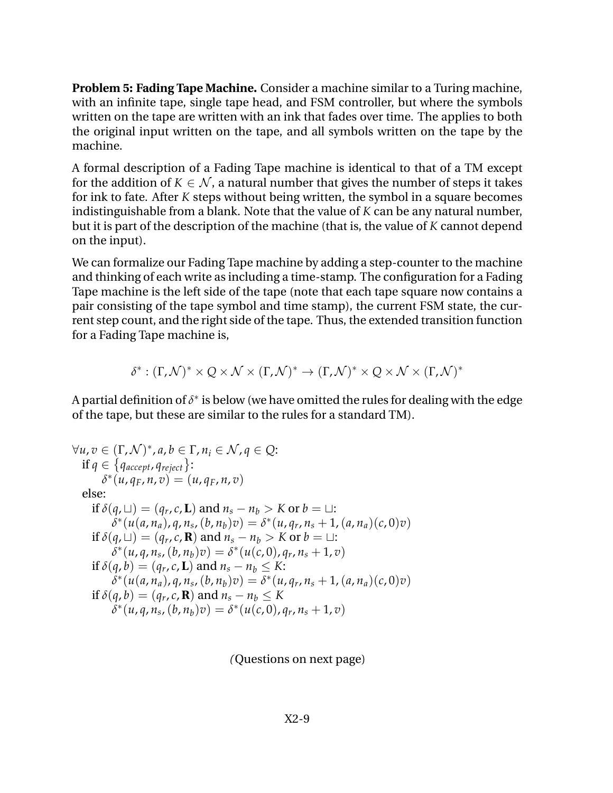**Problem 5: Fading Tape Machine.** Consider a machine similar to a Turing machine, with an infinite tape, single tape head, and FSM controller, but where the symbols written on the tape are written with an ink that fades over time. The applies to both the original input written on the tape, and all symbols written on the tape by the machine.

A formal description of a Fading Tape machine is identical to that of a TM except for the addition of  $K \in \mathcal{N}$ , a natural number that gives the number of steps it takes for ink to fate. After *K* steps without being written, the symbol in a square becomes indistinguishable from a blank. Note that the value of *K* can be any natural number, but it is part of the description of the machine (that is, the value of *K* cannot depend on the input).

We can formalize our Fading Tape machine by adding a step-counter to the machine and thinking of each write as including a time-stamp. The configuration for a Fading Tape machine is the left side of the tape (note that each tape square now contains a pair consisting of the tape symbol and time stamp), the current FSM state, the current step count, and the right side of the tape. Thus, the extended transition function for a Fading Tape machine is,

$$
\delta^* : (\Gamma, \mathcal{N})^* \times Q \times \mathcal{N} \times (\Gamma, \mathcal{N})^* \to (\Gamma, \mathcal{N})^* \times Q \times \mathcal{N} \times (\Gamma, \mathcal{N})^*
$$

A partial definition of  $\delta^*$  is below (we have omitted the rules for dealing with the edge of the tape, but these are similar to the rules for a standard TM).

$$
\forall u, v \in (\Gamma, \mathcal{N})^*, a, b \in \Gamma, n_i \in \mathcal{N}, q \in \mathcal{Q}: \n\text{if } q \in \{q_{accept}, q_{reject}\}: \n\delta^*(u, q_F, n, v) = (u, q_F, n, v) \n\text{else:} \n\text{if } \delta(q, \sqcup) = (q_r, c, \mathbf{L}) \text{ and } n_s - n_b > K \text{ or } b = \sqcup: \n\delta^*(u(a, n_a), q, n_s, (b, n_b)v) = \delta^*(u, q_r, n_s + 1, (a, n_a)(c, 0)v) \n\text{if } \delta(q, \sqcup) = (q_r, c, \mathbf{R}) \text{ and } n_s - n_b > K \text{ or } b = \sqcup: \n\delta^*(u, q, n_s, (b, n_b)v) = \delta^*(u(c, 0), q_r, n_s + 1, v) \n\text{if } \delta(q, b) = (q_r, c, \mathbf{L}) \text{ and } n_s - n_b \leq K: \n\delta^*(u(a, n_a), q, n_s, (b, n_b)v) = \delta^*(u, q_r, n_s + 1, (a, n_a)(c, 0)v) \n\text{if } \delta(q, b) = (q_r, c, \mathbf{R}) \text{ and } n_s - n_b \leq K \n\delta^*(u, q, n_s, (b, n_b)v) = \delta^*(u(c, 0), q_r, n_s + 1, v)
$$

*(*Questions on next page)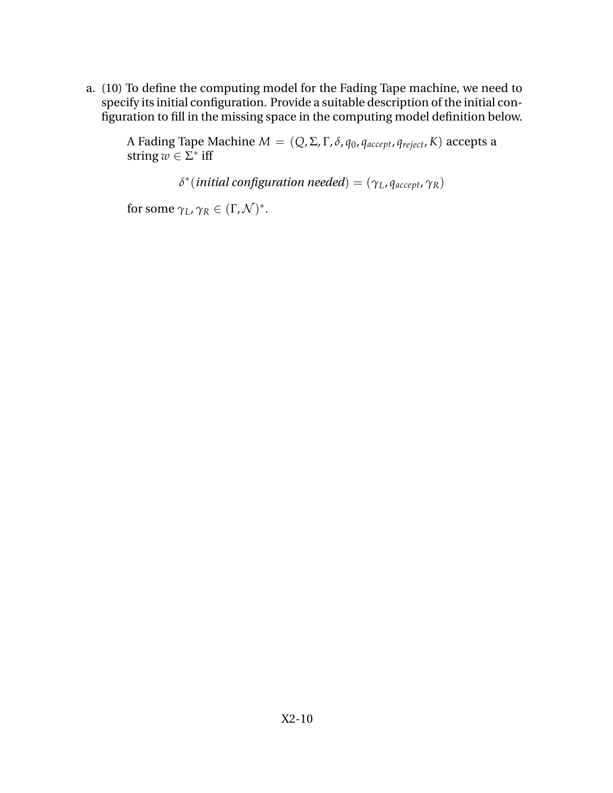a. (10) To define the computing model for the Fading Tape machine, we need to specify its initial configuration. Provide a suitable description of the initial configuration to fill in the missing space in the computing model definition below.

A Fading Tape Machine  $M = (Q, Σ, Γ, δ, q<sub>0</sub>, q<sub>accept</sub>, q<sub>reject</sub>, K)$  accepts a string  $w \in \Sigma^*$  iff

*δ* ∗ (*initial configuration needed*) = (*γL*, *qaccept*, *γR*)

for some  $\gamma_L$ ,  $\gamma_R \in (\Gamma, \mathcal{N})^*$ .